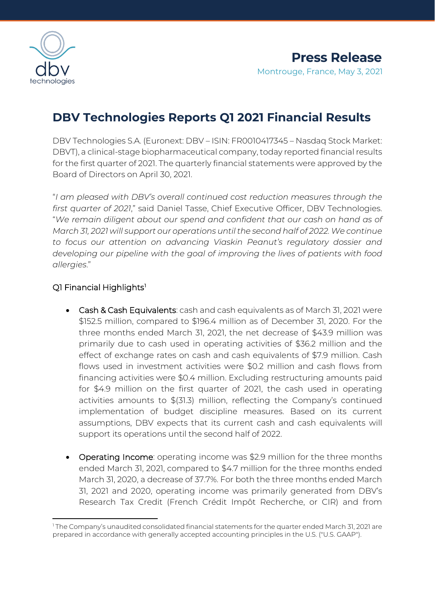

# **DBV Technologies Reports Q1 2021 Financial Results**

DBV Technologies S.A. (Euronext: DBV – ISIN: FR0010417345 – Nasdaq Stock Market: DBVT), a clinical-stage biopharmaceutical company, today reported financial results for the first quarter of 2021. The quarterly financial statements were approved by the Board of Directors on April 30, 2021.

"*I am pleased with DBV's overall continued cost reduction measures through the first quarter of 2021*," said Daniel Tasse, Chief Executive Officer, DBV Technologies. "*We remain diligent about our spend and confident that our cash on hand as of March 31, 2021 will support our operations until the second half of 2022. We continue to focus our attention on advancing Viaskin Peanut's regulatory dossier and developing our pipeline with the goal of improving the lives of patients with food allergies*."

## Q[1](#page-0-0) Financial Highlights<sup>1</sup>

- Cash & Cash Equivalents: cash and cash equivalents as of March 31, 2021 were \$152.5 million, compared to \$196.4 million as of December 31, 2020. For the three months ended March 31, 2021, the net decrease of \$43.9 million was primarily due to cash used in operating activities of \$36.2 million and the effect of exchange rates on cash and cash equivalents of \$7.9 million. Cash flows used in investment activities were \$0.2 million and cash flows from financing activities were \$0.4 million. Excluding restructuring amounts paid for \$4.9 million on the first quarter of 2021, the cash used in operating activities amounts to \$(31.3) million, reflecting the Company's continued implementation of budget discipline measures. Based on its current assumptions, DBV expects that its current cash and cash equivalents will support its operations until the second half of 2022.
- Operating Income: operating income was \$2.9 million for the three months ended March 31, 2021, compared to \$4.7 million for the three months ended March 31, 2020, a decrease of 37.7%. For both the three months ended March 31, 2021 and 2020, operating income was primarily generated from DBV's Research Tax Credit (French Crédit Impôt Recherche, or CIR) and from

<span id="page-0-0"></span><sup>&</sup>lt;sup>1</sup> The Company's unaudited consolidated financial statements for the quarter ended March 31, 2021 are prepared in accordance with generally accepted accounting principles in the U.S. ("U.S. GAAP").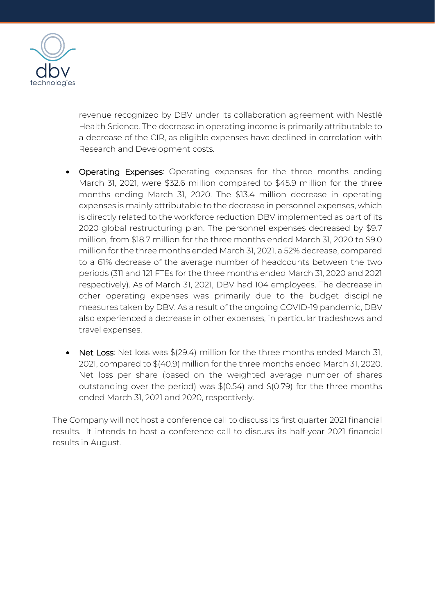

revenue recognized by DBV under its collaboration agreement with Nestlé Health Science. The decrease in operating income is primarily attributable to a decrease of the CIR, as eligible expenses have declined in correlation with Research and Development costs.

- Operating Expenses: Operating expenses for the three months ending March 31, 2021, were \$32.6 million compared to \$45.9 million for the three months ending March 31, 2020. The \$13.4 million decrease in operating expenses is mainly attributable to the decrease in personnel expenses, which is directly related to the workforce reduction DBV implemented as part of its 2020 global restructuring plan. The personnel expenses decreased by \$9.7 million, from \$18.7 million for the three months ended March 31, 2020 to \$9.0 million for the three months ended March 31, 2021, a 52% decrease, compared to a 61% decrease of the average number of headcounts between the two periods (311 and 121 FTEs for the three months ended March 31, 2020 and 2021 respectively). As of March 31, 2021, DBV had 104 employees. The decrease in other operating expenses was primarily due to the budget discipline measures taken by DBV. As a result of the ongoing COVID-19 pandemic, DBV also experienced a decrease in other expenses, in particular tradeshows and travel expenses.
- Net Loss: Net loss was \$(29.4) million for the three months ended March 31, 2021, compared to \$(40.9) million for the three months ended March 31, 2020. Net loss per share (based on the weighted average number of shares outstanding over the period) was \$(0.54) and \$(0.79) for the three months ended March 31, 2021 and 2020, respectively.

The Company will not host a conference call to discuss its first quarter 2021 financial results. It intends to host a conference call to discuss its half-year 2021 financial results in August.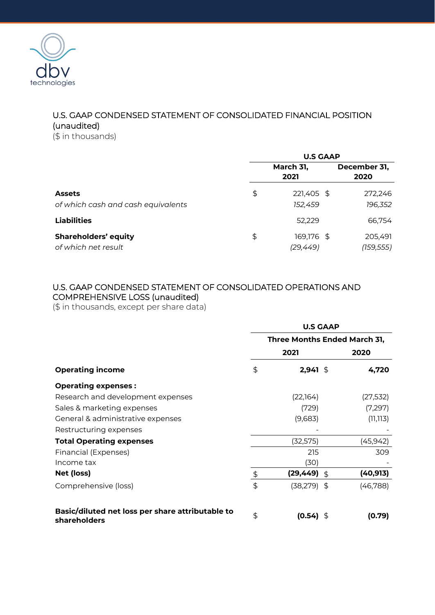

# U.S. GAAP CONDENSED STATEMENT OF CONSOLIDATED FINANCIAL POSITION (unaudited)

(\$ in thousands)

|                                                    | <b>U.S GAAP</b> |                        |                       |  |
|----------------------------------------------------|-----------------|------------------------|-----------------------|--|
|                                                    |                 | <b>March 31,</b>       | December 31,          |  |
|                                                    |                 | 2021                   | 2020                  |  |
| <b>Assets</b>                                      | \$              | 221,405 \$             | 272,246               |  |
| of which cash and cash equivalents                 |                 | 152,459                | 196,352               |  |
| <b>Liabilities</b>                                 |                 | 52,229                 | 66,754                |  |
| <b>Shareholders' equity</b><br>of which net result | \$              | 169,176 \$<br>(29,449) | 205,491<br>(159, 555) |  |

### U.S. GAAP CONDENSED STATEMENT OF CONSOLIDATED OPERATIONS AND COMPREHENSIVE LOSS (unaudited)

(\$ in thousands, except per share data)

|                                                                  | <b>U.S GAAP</b>          |                              |  |           |
|------------------------------------------------------------------|--------------------------|------------------------------|--|-----------|
|                                                                  |                          | Three Months Ended March 31, |  |           |
|                                                                  |                          | 2021                         |  | 2020      |
| <b>Operating income</b>                                          | \$                       | $2,941$ \$                   |  | 4,720     |
| <b>Operating expenses:</b>                                       |                          |                              |  |           |
| Research and development expenses                                |                          | (22,164)                     |  | (27,532)  |
| Sales & marketing expenses                                       |                          | (729)                        |  | (7,297)   |
| General & administrative expenses                                |                          | (9,683)                      |  | (11, 113) |
| Restructuring expenses                                           |                          |                              |  |           |
| <b>Total Operating expenses</b>                                  |                          | (32, 575)                    |  | (45, 942) |
| Financial (Expenses)                                             |                          | 215                          |  | 309       |
| Income tax                                                       |                          | (30)                         |  |           |
| Net (loss)                                                       | $\overline{\mathcal{L}}$ | $(29, 449)$ \$               |  | (40,913)  |
| Comprehensive (loss)                                             | \$                       | $(38,279)$ \$                |  | (46,788)  |
| Basic/diluted net loss per share attributable to<br>shareholders | \$                       | $(0.54)$ \$                  |  | (0.79)    |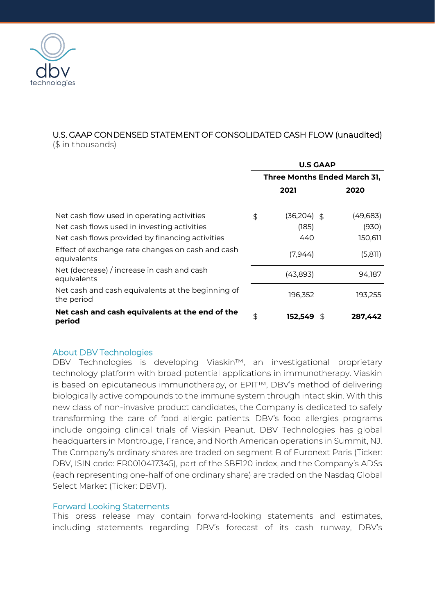

#### U.S. GAAP CONDENSED STATEMENT OF CONSOLIDATED CASH FLOW (unaudited) (\$ in thousands)

|                                                                 | <b>U.S GAAP</b><br>Three Months Ended March 31, |               |          |
|-----------------------------------------------------------------|-------------------------------------------------|---------------|----------|
|                                                                 |                                                 |               |          |
|                                                                 |                                                 | 2021          | 2020     |
|                                                                 |                                                 |               |          |
| Net cash flow used in operating activities                      | \$                                              | $(36,204)$ \$ | (49,683) |
| Net cash flows used in investing activities                     |                                                 | (185)         | (930)    |
| Net cash flows provided by financing activities                 |                                                 | 440           | 150,611  |
| Effect of exchange rate changes on cash and cash<br>equivalents |                                                 | (7,944)       | (5, 811) |
| Net (decrease) / increase in cash and cash<br>equivalents       |                                                 | (43,893)      | 94,187   |
| Net cash and cash equivalents at the beginning of<br>the period |                                                 | 196,352       | 193,255  |
| Net cash and cash equivalents at the end of the<br>period       | \$                                              | 152,549       | 287,442  |

#### About DBV Technologies

DBV Technologies is developing Viaskin™, an investigational proprietary technology platform with broad potential applications in immunotherapy. Viaskin is based on epicutaneous immunotherapy, or EPIT™, DBV's method of delivering biologically active compounds to the immune system through intact skin. With this new class of non-invasive product candidates, the Company is dedicated to safely transforming the care of food allergic patients. DBV's food allergies programs include ongoing clinical trials of Viaskin Peanut. DBV Technologies has global headquarters in Montrouge, France, and North American operations in Summit, NJ. The Company's ordinary shares are traded on segment B of Euronext Paris (Ticker: DBV, ISIN code: FR0010417345), part of the SBF120 index, and the Company's ADSs (each representing one-half of one ordinary share) are traded on the Nasdaq Global Select Market (Ticker: DBVT).

#### Forward Looking Statements

This press release may contain forward-looking statements and estimates, including statements regarding DBV's forecast of its cash runway, DBV's